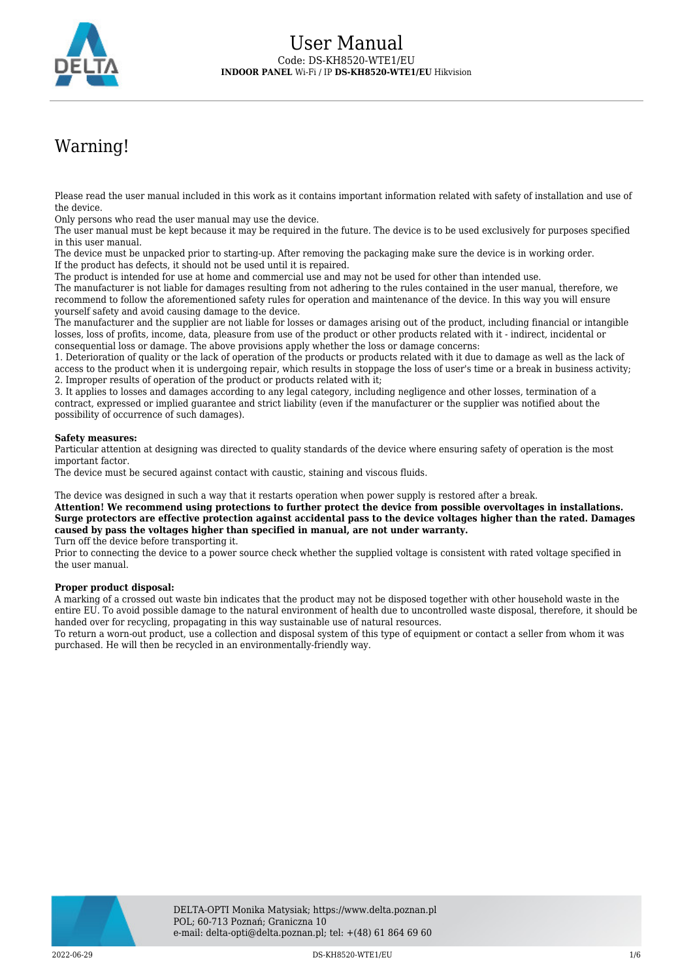

# Warning!

Please read the user manual included in this work as it contains important information related with safety of installation and use of the device.

Only persons who read the user manual may use the device.

The user manual must be kept because it may be required in the future. The device is to be used exclusively for purposes specified in this user manual.

The device must be unpacked prior to starting-up. After removing the packaging make sure the device is in working order. If the product has defects, it should not be used until it is repaired.

The product is intended for use at home and commercial use and may not be used for other than intended use.

The manufacturer is not liable for damages resulting from not adhering to the rules contained in the user manual, therefore, we recommend to follow the aforementioned safety rules for operation and maintenance of the device. In this way you will ensure yourself safety and avoid causing damage to the device.

The manufacturer and the supplier are not liable for losses or damages arising out of the product, including financial or intangible losses, loss of profits, income, data, pleasure from use of the product or other products related with it - indirect, incidental or consequential loss or damage. The above provisions apply whether the loss or damage concerns:

1. Deterioration of quality or the lack of operation of the products or products related with it due to damage as well as the lack of access to the product when it is undergoing repair, which results in stoppage the loss of user's time or a break in business activity; 2. Improper results of operation of the product or products related with it;

3. It applies to losses and damages according to any legal category, including negligence and other losses, termination of a contract, expressed or implied guarantee and strict liability (even if the manufacturer or the supplier was notified about the possibility of occurrence of such damages).

### **Safety measures:**

Particular attention at designing was directed to quality standards of the device where ensuring safety of operation is the most important factor.

The device must be secured against contact with caustic, staining and viscous fluids.

The device was designed in such a way that it restarts operation when power supply is restored after a break.

**Attention! We recommend using protections to further protect the device from possible overvoltages in installations. Surge protectors are effective protection against accidental pass to the device voltages higher than the rated. Damages caused by pass the voltages higher than specified in manual, are not under warranty.** Turn off the device before transporting it.

Prior to connecting the device to a power source check whether the supplied voltage is consistent with rated voltage specified in the user manual.

### **Proper product disposal:**

A marking of a crossed out waste bin indicates that the product may not be disposed together with other household waste in the entire EU. To avoid possible damage to the natural environment of health due to uncontrolled waste disposal, therefore, it should be handed over for recycling, propagating in this way sustainable use of natural resources.

To return a worn-out product, use a collection and disposal system of this type of equipment or contact a seller from whom it was purchased. He will then be recycled in an environmentally-friendly way.

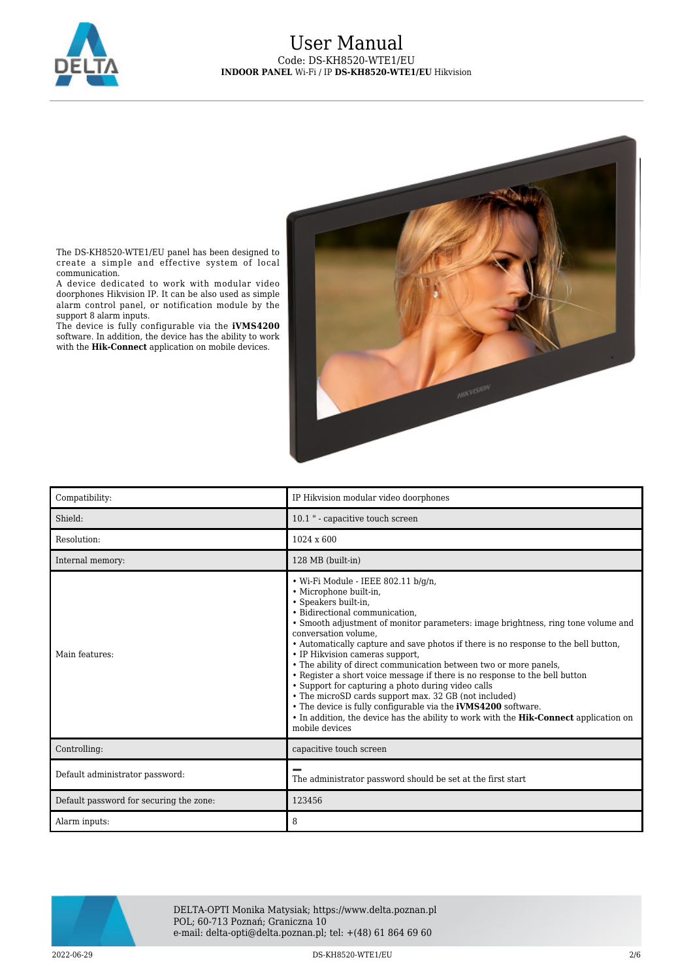

# User Manual Code: DS-KH8520-WTE1/EU **INDOOR PANEL** Wi-Fi / IP **DS-KH8520-WTE1/EU** Hikvision



The DS-KH8520-WTE1/EU panel has been designed to create a simple and effective system of local communication.

A device dedicated to work with modular video doorphones Hikvision IP. It can be also used as simple alarm control panel, or notification module by the support 8 alarm inputs.

The device is fully configurable via the **iVMS4200** software. In addition, the device has the ability to work with the **Hik-Connect** application on mobile devices.

| Compatibility:                          | IP Hikvision modular video doorphones                                                                                                                                                                                                                                                                                                                                                                                                                                                                                                                                                                                                                                                                                                                                                                                               |
|-----------------------------------------|-------------------------------------------------------------------------------------------------------------------------------------------------------------------------------------------------------------------------------------------------------------------------------------------------------------------------------------------------------------------------------------------------------------------------------------------------------------------------------------------------------------------------------------------------------------------------------------------------------------------------------------------------------------------------------------------------------------------------------------------------------------------------------------------------------------------------------------|
| Shield:                                 | 10.1 " - capacitive touch screen                                                                                                                                                                                                                                                                                                                                                                                                                                                                                                                                                                                                                                                                                                                                                                                                    |
| Resolution:                             | 1024 x 600                                                                                                                                                                                                                                                                                                                                                                                                                                                                                                                                                                                                                                                                                                                                                                                                                          |
| Internal memory:                        | 128 MB (built-in)                                                                                                                                                                                                                                                                                                                                                                                                                                                                                                                                                                                                                                                                                                                                                                                                                   |
| Main features:                          | $\bullet$ Wi-Fi Module - IEEE 802.11 b/q/n,<br>· Microphone built-in,<br>· Speakers built-in,<br>· Bidirectional communication,<br>• Smooth adjustment of monitor parameters: image brightness, ring tone volume and<br>conversation volume.<br>• Automatically capture and save photos if there is no response to the bell button,<br>• IP Hikvision cameras support,<br>• The ability of direct communication between two or more panels,<br>• Register a short voice message if there is no response to the bell button<br>• Support for capturing a photo during video calls<br>• The microSD cards support max, 32 GB (not included)<br>• The device is fully configurable via the <b>iVMS4200</b> software.<br>• In addition, the device has the ability to work with the <b>Hik-Connect</b> application on<br>mobile devices |
| Controlling:                            | capacitive touch screen                                                                                                                                                                                                                                                                                                                                                                                                                                                                                                                                                                                                                                                                                                                                                                                                             |
| Default administrator password:         | The administrator password should be set at the first start                                                                                                                                                                                                                                                                                                                                                                                                                                                                                                                                                                                                                                                                                                                                                                         |
| Default password for securing the zone: | 123456                                                                                                                                                                                                                                                                                                                                                                                                                                                                                                                                                                                                                                                                                                                                                                                                                              |
| Alarm inputs:                           | 8                                                                                                                                                                                                                                                                                                                                                                                                                                                                                                                                                                                                                                                                                                                                                                                                                                   |



DELTA-OPTI Monika Matysiak; https://www.delta.poznan.pl POL; 60-713 Poznań; Graniczna 10 e-mail: delta-opti@delta.poznan.pl; tel: +(48) 61 864 69 60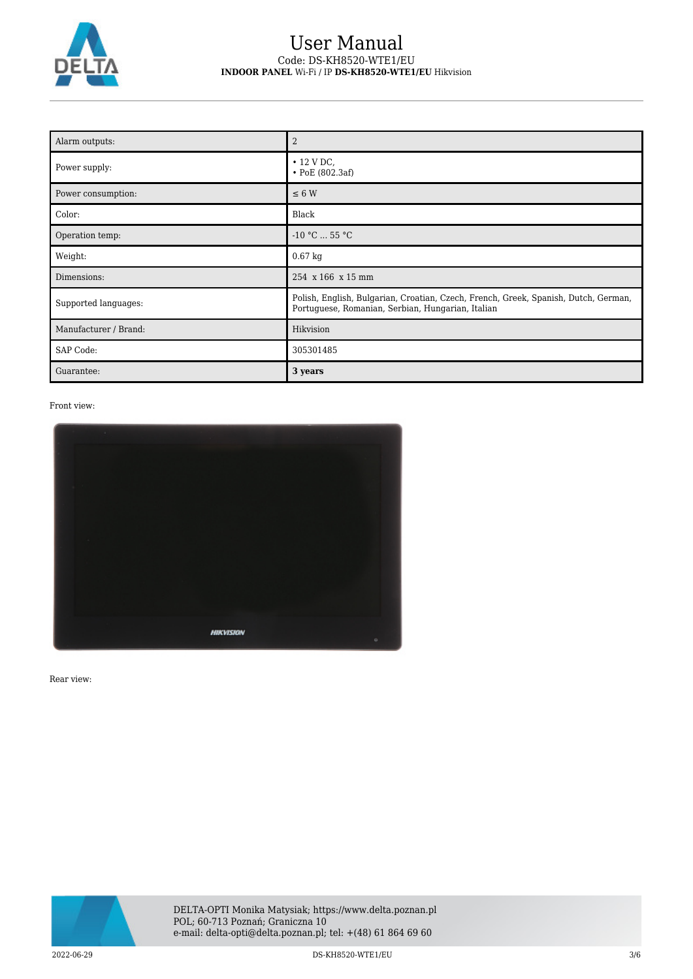

# User Manual Code: DS-KH8520-WTE1/EU **INDOOR PANEL** Wi-Fi / IP **DS-KH8520-WTE1/EU** Hikvision

| Alarm outputs:        | $\overline{2}$                                                                                                                           |
|-----------------------|------------------------------------------------------------------------------------------------------------------------------------------|
| Power supply:         | $\cdot$ 12 V DC,<br>$\bullet$ PoE (802.3af)                                                                                              |
| Power consumption:    | $\leq 6$ W                                                                                                                               |
| Color:                | Black                                                                                                                                    |
| Operation temp:       | $-10$ °C $$ 55 °C                                                                                                                        |
| Weight:               | $0.67$ kg                                                                                                                                |
| Dimensions:           | 254 x 166 x 15 mm                                                                                                                        |
| Supported languages:  | Polish, English, Bulgarian, Croatian, Czech, French, Greek, Spanish, Dutch, German,<br>Portuguese, Romanian, Serbian, Hungarian, Italian |
| Manufacturer / Brand: | Hikvision                                                                                                                                |
| SAP Code:             | 305301485                                                                                                                                |
| Guarantee:            | 3 years                                                                                                                                  |

Front view:



Rear view:

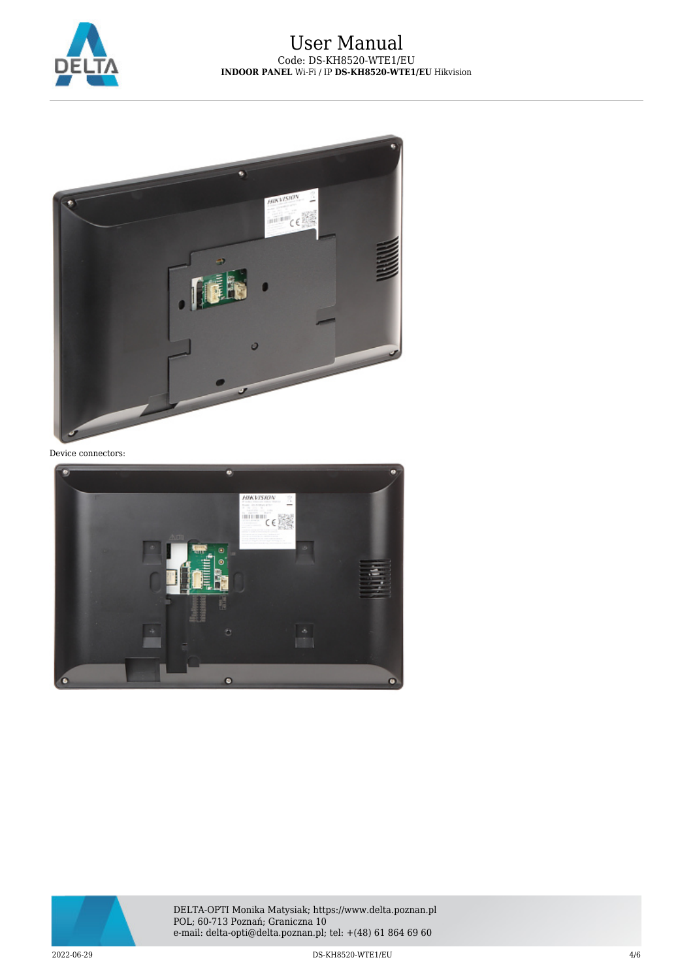

## User Manual Code: DS-KH8520-WTE1/EU **INDOOR PANEL** Wi-Fi / IP **DS-KH8520-WTE1/EU** Hikvision



Device connectors:





2022-06-29 DS-KH8520-WTE1/EU 4/6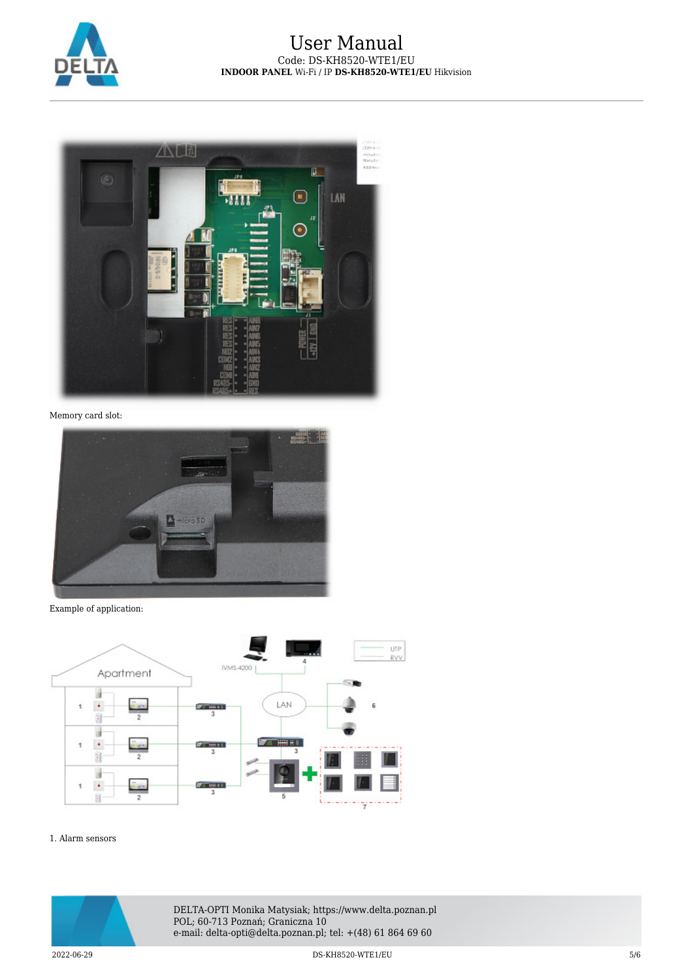



Memory card slot:



Example of application:



#### 1. Alarm sensors



DELTA-OPTI Monika Matysiak; https://www.delta.poznan.pl POL; 60-713 Poznań; Graniczna 10 e-mail: delta-opti@delta.poznan.pl; tel: +(48) 61 864 69 60

2022-06-29 DS-KH8520-WTE1/EU 5/6